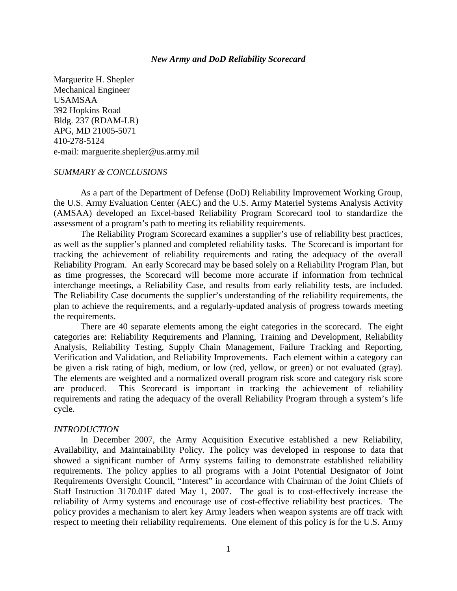#### *New Army and DoD Reliability Scorecard*

Marguerite H. Shepler Mechanical Engineer USAMSAA 392 Hopkins Road Bldg. 237 (RDAM-LR) APG, MD 21005-5071 410-278-5124 e-mail: marguerite.shepler@us.army.mil

# *SUMMARY & CONCLUSIONS*

As a part of the Department of Defense (DoD) Reliability Improvement Working Group, the U.S. Army Evaluation Center (AEC) and the U.S. Army Materiel Systems Analysis Activity (AMSAA) developed an Excel-based Reliability Program Scorecard tool to standardize the assessment of a program's path to meeting its reliability requirements.

The Reliability Program Scorecard examines a supplier's use of reliability best practices, as well as the supplier's planned and completed reliability tasks. The Scorecard is important for tracking the achievement of reliability requirements and rating the adequacy of the overall Reliability Program. An early Scorecard may be based solely on a Reliability Program Plan, but as time progresses, the Scorecard will become more accurate if information from technical interchange meetings, a Reliability Case, and results from early reliability tests, are included. The Reliability Case documents the supplier's understanding of the reliability requirements, the plan to achieve the requirements, and a regularly-updated analysis of progress towards meeting the requirements.

There are 40 separate elements among the eight categories in the scorecard. The eight categories are: Reliability Requirements and Planning, Training and Development, Reliability Analysis, Reliability Testing, Supply Chain Management, Failure Tracking and Reporting, Verification and Validation, and Reliability Improvements. Each element within a category can be given a risk rating of high, medium, or low (red, yellow, or green) or not evaluated (gray). The elements are weighted and a normalized overall program risk score and category risk score are produced. This Scorecard is important in tracking the achievement of reliability requirements and rating the adequacy of the overall Reliability Program through a system's life cycle.

#### *INTRODUCTION*

In December 2007, the Army Acquisition Executive established a new Reliability, Availability, and Maintainability Policy. The policy was developed in response to data that showed a significant number of Army systems failing to demonstrate established reliability requirements. The policy applies to all programs with a Joint Potential Designator of Joint Requirements Oversight Council, "Interest" in accordance with Chairman of the Joint Chiefs of Staff Instruction 3170.01F dated May 1, 2007. The goal is to cost-effectively increase the reliability of Army systems and encourage use of cost-effective reliability best practices. The policy provides a mechanism to alert key Army leaders when weapon systems are off track with respect to meeting their reliability requirements. One element of this policy is for the U.S. Army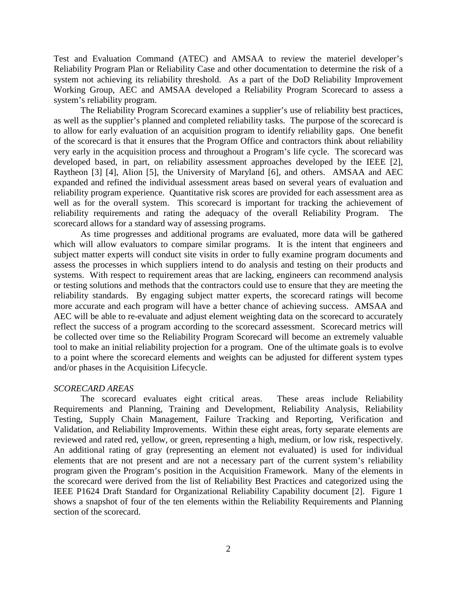Test and Evaluation Command (ATEC) and AMSAA to review the materiel developer's Reliability Program Plan or Reliability Case and other documentation to determine the risk of a system not achieving its reliability threshold. As a part of the DoD Reliability Improvement Working Group, AEC and AMSAA developed a Reliability Program Scorecard to assess a system's reliability program.

The Reliability Program Scorecard examines a supplier's use of reliability best practices, as well as the supplier's planned and completed reliability tasks. The purpose of the scorecard is to allow for early evaluation of an acquisition program to identify reliability gaps. One benefit of the scorecard is that it ensures that the Program Office and contractors think about reliability very early in the acquisition process and throughout a Program's life cycle. The scorecard was developed based, in part, on reliability assessment approaches developed by the IEEE [2], Raytheon [3] [4], Alion [5], the University of Maryland [6], and others. AMSAA and AEC expanded and refined the individual assessment areas based on several years of evaluation and reliability program experience. Quantitative risk scores are provided for each assessment area as well as for the overall system. This scorecard is important for tracking the achievement of reliability requirements and rating the adequacy of the overall Reliability Program. The scorecard allows for a standard way of assessing programs.

As time progresses and additional programs are evaluated, more data will be gathered which will allow evaluators to compare similar programs. It is the intent that engineers and subject matter experts will conduct site visits in order to fully examine program documents and assess the processes in which suppliers intend to do analysis and testing on their products and systems. With respect to requirement areas that are lacking, engineers can recommend analysis or testing solutions and methods that the contractors could use to ensure that they are meeting the reliability standards. By engaging subject matter experts, the scorecard ratings will become more accurate and each program will have a better chance of achieving success. AMSAA and AEC will be able to re-evaluate and adjust element weighting data on the scorecard to accurately reflect the success of a program according to the scorecard assessment. Scorecard metrics will be collected over time so the Reliability Program Scorecard will become an extremely valuable tool to make an initial reliability projection for a program. One of the ultimate goals is to evolve to a point where the scorecard elements and weights can be adjusted for different system types and/or phases in the Acquisition Lifecycle.

## *SCORECARD AREAS*

The scorecard evaluates eight critical areas. These areas include Reliability Requirements and Planning, Training and Development, Reliability Analysis, Reliability Testing, Supply Chain Management, Failure Tracking and Reporting, Verification and Validation, and Reliability Improvements. Within these eight areas, forty separate elements are reviewed and rated red, yellow, or green, representing a high, medium, or low risk, respectively. An additional rating of gray (representing an element not evaluated) is used for individual elements that are not present and are not a necessary part of the current system's reliability program given the Program's position in the Acquisition Framework. Many of the elements in the scorecard were derived from the list of Reliability Best Practices and categorized using the IEEE P1624 Draft Standard for Organizational Reliability Capability document [2]. Figure 1 shows a snapshot of four of the ten elements within the Reliability Requirements and Planning section of the scorecard.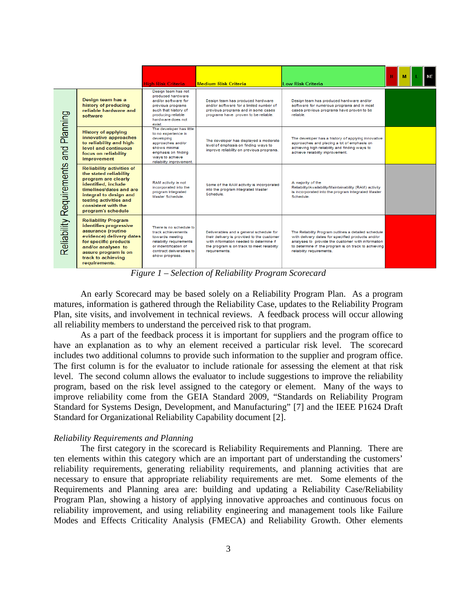|                                                |                                                                                                                                                                                                                                      | <b>High Risk Criteria</b>                                                                                                                                                 | <b>Medium Risk Criteria</b>                                                                                                                                                                      | <b>Low Risk Criteria</b>                                                                                                                                                                                                                            | н | м | <b>NE</b> |
|------------------------------------------------|--------------------------------------------------------------------------------------------------------------------------------------------------------------------------------------------------------------------------------------|---------------------------------------------------------------------------------------------------------------------------------------------------------------------------|--------------------------------------------------------------------------------------------------------------------------------------------------------------------------------------------------|-----------------------------------------------------------------------------------------------------------------------------------------------------------------------------------------------------------------------------------------------------|---|---|-----------|
| Planning<br>and<br>Requirements<br>Reliability | Design team has a<br>history of producing<br>reliable hardware and<br>software                                                                                                                                                       | Design team has not<br>produced hardware<br>and/or software for<br>previous programs<br>such that history of<br>producing reliable<br>hardware does not<br>exist.         | Design team has produced hardware<br>and/or software for a limited number of<br>previous programs and in some cases<br>programs have proven to be reliable.                                      | Design team has produced hardware and/or<br>software for numerous programs and in most<br>cases previous programs have proven to be<br>reliable                                                                                                     |   |   |           |
|                                                | <b>History of applying</b><br>innovative approaches<br>to reliability and high-<br>level and continuous<br>focus on reliability<br>improvement                                                                                       | The developer has little<br>to no experience in<br>developing<br>approaches and/or<br>shows minimal<br>emphasis on finding<br>ways to achieve<br>reliability improvement. | The developer has displayed a moderate<br>level of emphasis on finding ways to<br>improve reliability on previous programs.                                                                      | The developer has a history of applying innovative<br>approaches and placing a lot of emphasis on<br>achieving high reliability and finding ways to<br>achieve reliability improvement.                                                             |   |   |           |
|                                                | <b>Reliability activities of</b><br>the stated reliability<br>program are clearly<br>identified, include<br>timelines/dates and are<br>integral to design and<br>testing activities and<br>consistent with the<br>program's schedule | RAM activity is not<br>incorporated into the<br>program Integrated<br>Master Schedule.                                                                                    | Some of the RAM activity is incorporated<br>into the program Integrated Master<br>Schedule.                                                                                                      | A majority of the<br>Reliability/Availability/Maintainability (RAM) activity<br>is incorporated into the program Integrated Master<br>Schedule.                                                                                                     |   |   |           |
|                                                | <b>Reliability Program</b><br>identifies progressive<br>assurance (routine<br>evidence) delivery dates<br>for specific products<br>and/or analyses to<br>assure program is on<br>track to achieving<br>requirements.                 | There is no schedule to<br>track achievements<br>towards meeting<br>reliability requirements<br>or indentification of<br>contract deliverables to<br>show progress.       | Deliverables and a general schedule for<br>their delivery is provided to the customer<br>with information needed to determine if<br>the program is on track to meet reliability<br>requirements. | The Reliability Program outlines a detailed schedule<br>with delivery dates for specified products and/or<br>analyses to provide the customer with information<br>to determine if the program is on track to achieving<br>reliability requirements. |   |   |           |

*Figure 1 – Selection of Reliability Program Scorecard*

An early Scorecard may be based solely on a Reliability Program Plan. As a program matures, information is gathered through the Reliability Case, updates to the Reliability Program Plan, site visits, and involvement in technical reviews. A feedback process will occur allowing all reliability members to understand the perceived risk to that program.

As a part of the feedback process it is important for suppliers and the program office to have an explanation as to why an element received a particular risk level. The scorecard includes two additional columns to provide such information to the supplier and program office. The first column is for the evaluator to include rationale for assessing the element at that risk level. The second column allows the evaluator to include suggestions to improve the reliability program, based on the risk level assigned to the category or element. Many of the ways to improve reliability come from the GEIA Standard 2009, "Standards on Reliability Program Standard for Systems Design, Development, and Manufacturing" [7] and the IEEE P1624 Draft Standard for Organizational Reliability Capability document [2].

#### *Reliability Requirements and Planning*

The first category in the scorecard is Reliability Requirements and Planning. There are ten elements within this category which are an important part of understanding the customers' reliability requirements, generating reliability requirements, and planning activities that are necessary to ensure that appropriate reliability requirements are met. Some elements of the Requirements and Planning area are: building and updating a Reliability Case/Reliability Program Plan, showing a history of applying innovative approaches and continuous focus on reliability improvement, and using reliability engineering and management tools like Failure Modes and Effects Criticality Analysis (FMECA) and Reliability Growth. Other elements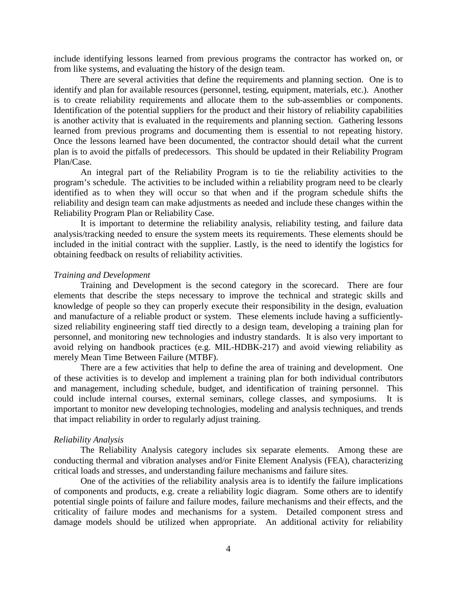include identifying lessons learned from previous programs the contractor has worked on, or from like systems, and evaluating the history of the design team.

There are several activities that define the requirements and planning section. One is to identify and plan for available resources (personnel, testing, equipment, materials, etc.). Another is to create reliability requirements and allocate them to the sub-assemblies or components. Identification of the potential suppliers for the product and their history of reliability capabilities is another activity that is evaluated in the requirements and planning section. Gathering lessons learned from previous programs and documenting them is essential to not repeating history. Once the lessons learned have been documented, the contractor should detail what the current plan is to avoid the pitfalls of predecessors. This should be updated in their Reliability Program Plan/Case.

An integral part of the Reliability Program is to tie the reliability activities to the program's schedule. The activities to be included within a reliability program need to be clearly identified as to when they will occur so that when and if the program schedule shifts the reliability and design team can make adjustments as needed and include these changes within the Reliability Program Plan or Reliability Case.

It is important to determine the reliability analysis, reliability testing, and failure data analysis/tracking needed to ensure the system meets its requirements. These elements should be included in the initial contract with the supplier. Lastly, is the need to identify the logistics for obtaining feedback on results of reliability activities.

### *Training and Development*

Training and Development is the second category in the scorecard. There are four elements that describe the steps necessary to improve the technical and strategic skills and knowledge of people so they can properly execute their responsibility in the design, evaluation and manufacture of a reliable product or system. These elements include having a sufficientlysized reliability engineering staff tied directly to a design team, developing a training plan for personnel, and monitoring new technologies and industry standards. It is also very important to avoid relying on handbook practices (e.g. MIL-HDBK-217) and avoid viewing reliability as merely Mean Time Between Failure (MTBF).

There are a few activities that help to define the area of training and development. One of these activities is to develop and implement a training plan for both individual contributors and management, including schedule, budget, and identification of training personnel. This could include internal courses, external seminars, college classes, and symposiums. It is important to monitor new developing technologies, modeling and analysis techniques, and trends that impact reliability in order to regularly adjust training.

#### *Reliability Analysis*

The Reliability Analysis category includes six separate elements. Among these are conducting thermal and vibration analyses and/or Finite Element Analysis (FEA), characterizing critical loads and stresses, and understanding failure mechanisms and failure sites.

One of the activities of the reliability analysis area is to identify the failure implications of components and products, e.g. create a reliability logic diagram. Some others are to identify potential single points of failure and failure modes, failure mechanisms and their effects, and the criticality of failure modes and mechanisms for a system. Detailed component stress and damage models should be utilized when appropriate. An additional activity for reliability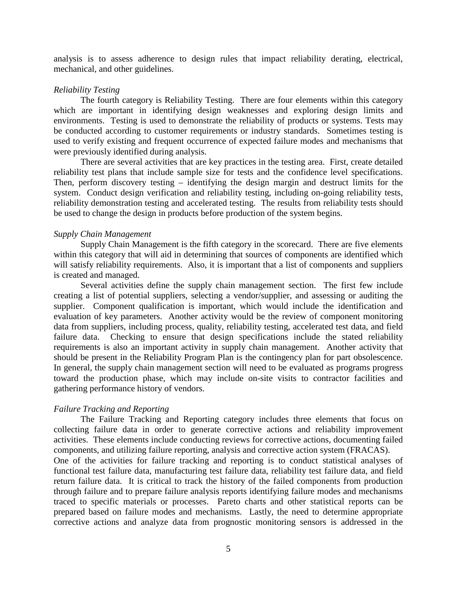analysis is to assess adherence to design rules that impact reliability derating, electrical, mechanical, and other guidelines.

### *Reliability Testing*

The fourth category is Reliability Testing. There are four elements within this category which are important in identifying design weaknesses and exploring design limits and environments. Testing is used to demonstrate the reliability of products or systems. Tests may be conducted according to customer requirements or industry standards. Sometimes testing is used to verify existing and frequent occurrence of expected failure modes and mechanisms that were previously identified during analysis.

There are several activities that are key practices in the testing area. First, create detailed reliability test plans that include sample size for tests and the confidence level specifications. Then, perform discovery testing – identifying the design margin and destruct limits for the system. Conduct design verification and reliability testing, including on-going reliability tests, reliability demonstration testing and accelerated testing. The results from reliability tests should be used to change the design in products before production of the system begins.

## *Supply Chain Management*

Supply Chain Management is the fifth category in the scorecard. There are five elements within this category that will aid in determining that sources of components are identified which will satisfy reliability requirements. Also, it is important that a list of components and suppliers is created and managed.

Several activities define the supply chain management section. The first few include creating a list of potential suppliers, selecting a vendor/supplier, and assessing or auditing the supplier. Component qualification is important, which would include the identification and evaluation of key parameters. Another activity would be the review of component monitoring data from suppliers, including process, quality, reliability testing, accelerated test data, and field failure data. Checking to ensure that design specifications include the stated reliability requirements is also an important activity in supply chain management. Another activity that should be present in the Reliability Program Plan is the contingency plan for part obsolescence. In general, the supply chain management section will need to be evaluated as programs progress toward the production phase, which may include on-site visits to contractor facilities and gathering performance history of vendors.

## *Failure Tracking and Reporting*

The Failure Tracking and Reporting category includes three elements that focus on collecting failure data in order to generate corrective actions and reliability improvement activities. These elements include conducting reviews for corrective actions, documenting failed components, and utilizing failure reporting, analysis and corrective action system (FRACAS). One of the activities for failure tracking and reporting is to conduct statistical analyses of functional test failure data, manufacturing test failure data, reliability test failure data, and field return failure data. It is critical to track the history of the failed components from production through failure and to prepare failure analysis reports identifying failure modes and mechanisms traced to specific materials or processes. Pareto charts and other statistical reports can be prepared based on failure modes and mechanisms. Lastly, the need to determine appropriate corrective actions and analyze data from prognostic monitoring sensors is addressed in the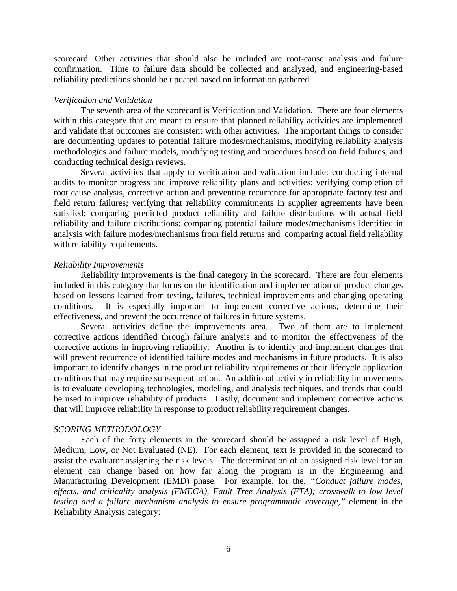scorecard. Other activities that should also be included are root-cause analysis and failure confirmation. Time to failure data should be collected and analyzed, and engineering-based reliability predictions should be updated based on information gathered.

#### *Verification and Validation*

The seventh area of the scorecard is Verification and Validation. There are four elements within this category that are meant to ensure that planned reliability activities are implemented and validate that outcomes are consistent with other activities. The important things to consider are documenting updates to potential failure modes/mechanisms, modifying reliability analysis methodologies and failure models, modifying testing and procedures based on field failures, and conducting technical design reviews.

Several activities that apply to verification and validation include: conducting internal audits to monitor progress and improve reliability plans and activities; verifying completion of root cause analysis, corrective action and preventing recurrence for appropriate factory test and field return failures; verifying that reliability commitments in supplier agreements have been satisfied; comparing predicted product reliability and failure distributions with actual field reliability and failure distributions; comparing potential failure modes/mechanisms identified in analysis with failure modes/mechanisms from field returns and comparing actual field reliability with reliability requirements.

#### *Reliability Improvements*

Reliability Improvements is the final category in the scorecard. There are four elements included in this category that focus on the identification and implementation of product changes based on lessons learned from testing, failures, technical improvements and changing operating conditions. It is especially important to implement corrective actions, determine their effectiveness, and prevent the occurrence of failures in future systems.

Several activities define the improvements area. Two of them are to implement corrective actions identified through failure analysis and to monitor the effectiveness of the corrective actions in improving reliability. Another is to identify and implement changes that will prevent recurrence of identified failure modes and mechanisms in future products. It is also important to identify changes in the product reliability requirements or their lifecycle application conditions that may require subsequent action. An additional activity in reliability improvements is to evaluate developing technologies, modeling, and analysis techniques, and trends that could be used to improve reliability of products. Lastly, document and implement corrective actions that will improve reliability in response to product reliability requirement changes.

### *SCORING METHODOLOGY*

Each of the forty elements in the scorecard should be assigned a risk level of High, Medium, Low, or Not Evaluated (NE). For each element, text is provided in the scorecard to assist the evaluator assigning the risk levels. The determination of an assigned risk level for an element can change based on how far along the program is in the Engineering and Manufacturing Development (EMD) phase. For example, for the, *"Conduct failure modes, effects, and criticality analysis (FMECA), Fault Tree Analysis (FTA); crosswalk to low level testing and a failure mechanism analysis to ensure programmatic coverage,"* element in the Reliability Analysis category: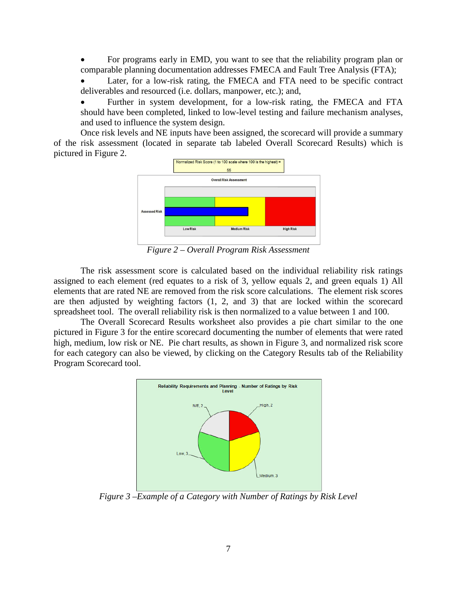• For programs early in EMD, you want to see that the reliability program plan or comparable planning documentation addresses FMECA and Fault Tree Analysis (FTA);

Later, for a low-risk rating, the FMECA and FTA need to be specific contract deliverables and resourced (i.e. dollars, manpower, etc.); and,

• Further in system development, for a low-risk rating, the FMECA and FTA should have been completed, linked to low-level testing and failure mechanism analyses, and used to influence the system design.

Once risk levels and NE inputs have been assigned, the scorecard will provide a summary of the risk assessment (located in separate tab labeled Overall Scorecard Results) which is pictured in Figure 2.



*Figure 2 – Overall Program Risk Assessment*

The risk assessment score is calculated based on the individual reliability risk ratings assigned to each element (red equates to a risk of 3, yellow equals 2, and green equals 1) All elements that are rated NE are removed from the risk score calculations. The element risk scores are then adjusted by weighting factors (1, 2, and 3) that are locked within the scorecard spreadsheet tool. The overall reliability risk is then normalized to a value between 1 and 100.

The Overall Scorecard Results worksheet also provides a pie chart similar to the one pictured in Figure 3 for the entire scorecard documenting the number of elements that were rated high, medium, low risk or NE. Pie chart results, as shown in Figure 3, and normalized risk score for each category can also be viewed, by clicking on the Category Results tab of the Reliability Program Scorecard tool.



*Figure 3 –Example of a Category with Number of Ratings by Risk Level*